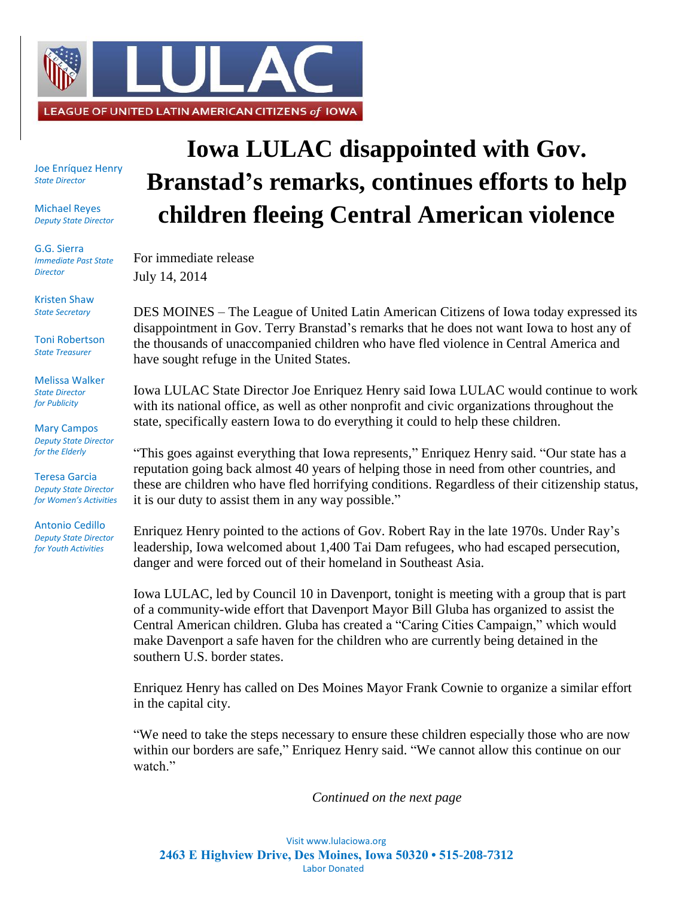

Joe Enríquez Henry *State Director*

Michael Reyes *Deputy State Director*

G.G. Sierra *Immediate Past State Director*

Kristen Shaw *State Secretary*

Toni Robertson *State Treasurer*

Melissa Walker *State Director for Publicity*

Mary Campos *Deputy State Director for the Elderly*

Teresa Garcia *Deputy State Director for Women's Activities*

Antonio Cedillo *Deputy State Director for Youth Activities*

## **Iowa LULAC disappointed with Gov. Branstad's remarks, continues efforts to help children fleeing Central American violence**

For immediate release July 14, 2014

DES MOINES – The League of United Latin American Citizens of Iowa today expressed its disappointment in Gov. Terry Branstad's remarks that he does not want Iowa to host any of the thousands of unaccompanied children who have fled violence in Central America and have sought refuge in the United States.

Iowa LULAC State Director Joe Enriquez Henry said Iowa LULAC would continue to work with its national office, as well as other nonprofit and civic organizations throughout the state, specifically eastern Iowa to do everything it could to help these children.

"This goes against everything that Iowa represents," Enriquez Henry said. "Our state has a reputation going back almost 40 years of helping those in need from other countries, and these are children who have fled horrifying conditions. Regardless of their citizenship status, it is our duty to assist them in any way possible."

Enriquez Henry pointed to the actions of Gov. Robert Ray in the late 1970s. Under Ray's leadership, Iowa welcomed about 1,400 Tai Dam refugees, who had escaped persecution, danger and were forced out of their homeland in Southeast Asia.

Iowa LULAC, led by Council 10 in Davenport, tonight is meeting with a group that is part of a community-wide effort that Davenport Mayor Bill Gluba has organized to assist the Central American children. Gluba has created a "Caring Cities Campaign," which would make Davenport a safe haven for the children who are currently being detained in the southern U.S. border states.

Enriquez Henry has called on Des Moines Mayor Frank Cownie to organize a similar effort in the capital city.

"We need to take the steps necessary to ensure these children especially those who are now within our borders are safe," Enriquez Henry said. "We cannot allow this continue on our watch"

*Continued on the next page*